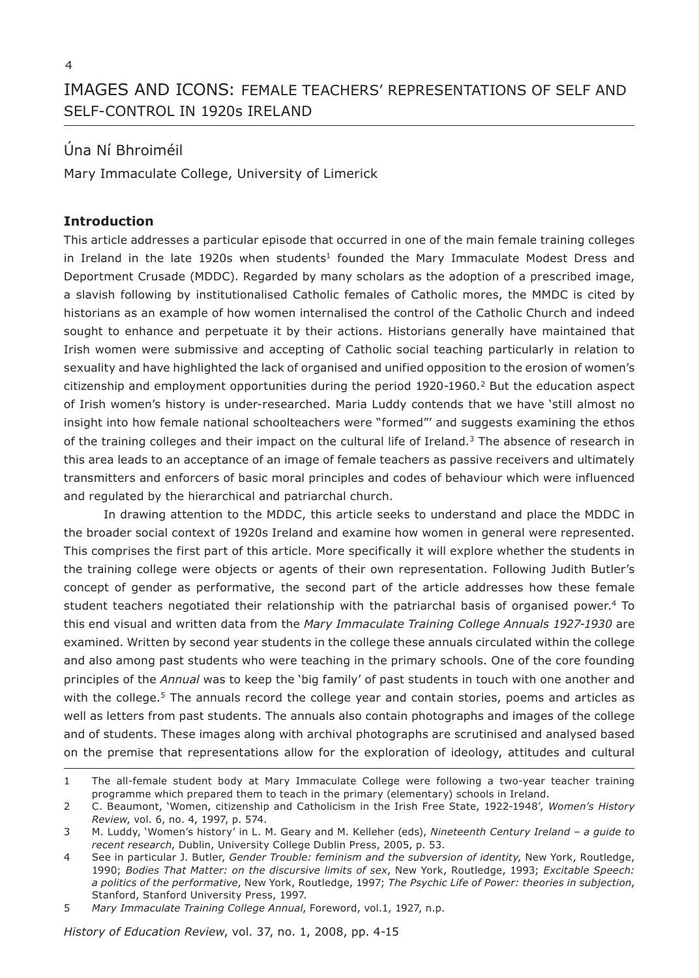# Úna Ní Bhroiméil

Mary Immaculate College, University of Limerick

# **Introduction**

This article addresses a particular episode that occurred in one of the main female training colleges in Ireland in the late 1920s when students<sup>1</sup> founded the Mary Immaculate Modest Dress and Deportment Crusade (MDDC). Regarded by many scholars as the adoption of a prescribed image, a slavish following by institutionalised Catholic females of Catholic mores, the MMDC is cited by historians as an example of how women internalised the control of the Catholic Church and indeed sought to enhance and perpetuate it by their actions. Historians generally have maintained that Irish women were submissive and accepting of Catholic social teaching particularly in relation to sexuality and have highlighted the lack of organised and unified opposition to the erosion of women's citizenship and employment opportunities during the period 1920-1960.2 But the education aspect of Irish women's history is under-researched. Maria Luddy contends that we have 'still almost no insight into how female national schoolteachers were "formed"' and suggests examining the ethos of the training colleges and their impact on the cultural life of Ireland.<sup>3</sup> The absence of research in this area leads to an acceptance of an image of female teachers as passive receivers and ultimately transmitters and enforcers of basic moral principles and codes of behaviour which were influenced and regulated by the hierarchical and patriarchal church.

In drawing attention to the MDDC, this article seeks to understand and place the MDDC in the broader social context of 1920s Ireland and examine how women in general were represented. This comprises the first part of this article. More specifically it will explore whether the students in the training college were objects or agents of their own representation. Following Judith Butler's concept of gender as performative, the second part of the article addresses how these female student teachers negotiated their relationship with the patriarchal basis of organised power.4 To this end visual and written data from the *Mary Immaculate Training College Annuals 1927-1930* are examined. Written by second year students in the college these annuals circulated within the college and also among past students who were teaching in the primary schools. One of the core founding principles of the *Annual* was to keep the 'big family' of past students in touch with one another and with the college.<sup>5</sup> The annuals record the college year and contain stories, poems and articles as well as letters from past students. The annuals also contain photographs and images of the college and of students. These images along with archival photographs are scrutinised and analysed based on the premise that representations allow for the exploration of ideology, attitudes and cultural

```
5 Mary Immaculate Training College Annual, Foreword, vol.1, 1927, n.p.
```
*History of Education Review*, vol. 37, no. 1, 2008, pp. 4-15

<sup>1</sup> The all-female student body at Mary Immaculate College were following a two-year teacher training programme which prepared them to teach in the primary (elementary) schools in Ireland.

<sup>2</sup> C. Beaumont, 'Women, citizenship and Catholicism in the Irish Free State, 1922-1948', *Women's History Review*, vol. 6, no. 4, 1997, p. 574.

<sup>3</sup> M. Luddy, 'Women's history' in L. M. Geary and M. Kelleher (eds), *Nineteenth Century Ireland – a guide to recent research*, Dublin, University College Dublin Press, 2005, p. 53.

<sup>4</sup> See in particular J. Butler, *Gender Trouble: feminism and the subversion of identity*, New York, Routledge, 1990; *Bodies That Matter: on the discursive limits of sex*, New York, Routledge, 1993; *Excitable Speech: a politics of the performative*, New York, Routledge, 1997; *The Psychic Life of Power: theories in subjection*, Stanford, Stanford University Press, 1997.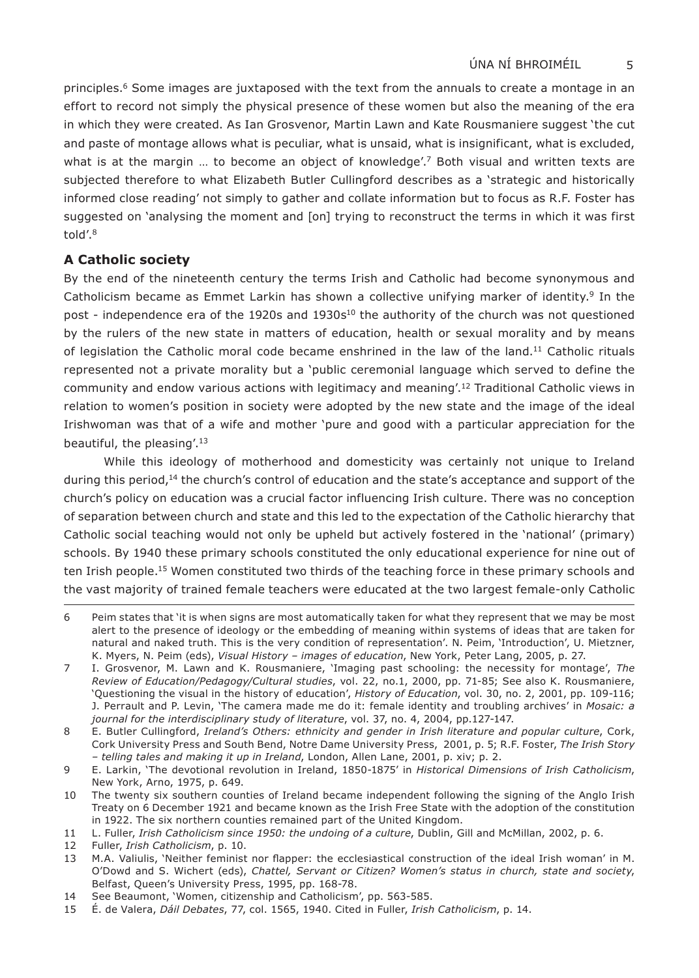5

principles.<sup>6</sup> Some images are juxtaposed with the text from the annuals to create a montage in an effort to record not simply the physical presence of these women but also the meaning of the era in which they were created. As Ian Grosvenor, Martin Lawn and Kate Rousmaniere suggest 'the cut and paste of montage allows what is peculiar, what is unsaid, what is insignificant, what is excluded, what is at the margin ... to become an object of knowledge'.<sup>7</sup> Both visual and written texts are subjected therefore to what Elizabeth Butler Cullingford describes as a 'strategic and historically informed close reading' not simply to gather and collate information but to focus as R.F. Foster has suggested on 'analysing the moment and [on] trying to reconstruct the terms in which it was first told'.8

# **A Catholic society**

By the end of the nineteenth century the terms Irish and Catholic had become synonymous and Catholicism became as Emmet Larkin has shown a collective unifying marker of identity.9 In the post - independence era of the 1920s and 1930s<sup>10</sup> the authority of the church was not questioned by the rulers of the new state in matters of education, health or sexual morality and by means of legislation the Catholic moral code became enshrined in the law of the land.<sup>11</sup> Catholic rituals represented not a private morality but a 'public ceremonial language which served to define the community and endow various actions with legitimacy and meaning'.12 Traditional Catholic views in relation to women's position in society were adopted by the new state and the image of the ideal Irishwoman was that of a wife and mother 'pure and good with a particular appreciation for the beautiful, the pleasing'.13

While this ideology of motherhood and domesticity was certainly not unique to Ireland during this period,<sup>14</sup> the church's control of education and the state's acceptance and support of the church's policy on education was a crucial factor influencing Irish culture. There was no conception of separation between church and state and this led to the expectation of the Catholic hierarchy that Catholic social teaching would not only be upheld but actively fostered in the 'national' (primary) schools. By 1940 these primary schools constituted the only educational experience for nine out of ten Irish people.15 Women constituted two thirds of the teaching force in these primary schools and the vast majority of trained female teachers were educated at the two largest female-only Catholic

<sup>6</sup> Peim states that 'it is when signs are most automatically taken for what they represent that we may be most alert to the presence of ideology or the embedding of meaning within systems of ideas that are taken for natural and naked truth. This is the very condition of representation'. N. Peim, 'Introduction', U. Mietzner, K. Myers, N. Peim (eds), *Visual History – images of education*, New York, Peter Lang, 2005, p. 27.

<sup>7</sup> I. Grosvenor, M. Lawn and K. Rousmaniere, 'Imaging past schooling: the necessity for montage', *The Review of Education/Pedagogy/Cultural studies*, vol. 22, no.1, 2000, pp. 71-85; See also K. Rousmaniere, 'Questioning the visual in the history of education', *History of Education*, vol. 30, no. 2, 2001, pp. 109-116; J. Perrault and P. Levin, 'The camera made me do it: female identity and troubling archives' in *Mosaic: a journal for the interdisciplinary study of literature*, vol. 37, no. 4, 2004, pp.127-147.

<sup>8</sup> E. Butler Cullingford, *Ireland's Others: ethnicity and gender in Irish literature and popular culture*, Cork, Cork University Press and South Bend, Notre Dame University Press, 2001, p. 5; R.F. Foster, *The Irish Story – telling tales and making it up in Ireland*, London, Allen Lane, 2001, p. xiv; p. 2.

<sup>9</sup> E. Larkin, 'The devotional revolution in Ireland, 1850-1875' in *Historical Dimensions of Irish Catholicism*, New York, Arno, 1975, p. 649.

<sup>10</sup> The twenty six southern counties of Ireland became independent following the signing of the Anglo Irish Treaty on 6 December 1921 and became known as the Irish Free State with the adoption of the constitution in 1922. The six northern counties remained part of the United Kingdom.

<sup>11</sup> L. Fuller, *Irish Catholicism since 1950: the undoing of a culture*, Dublin, Gill and McMillan, 2002, p. 6.

<sup>12</sup> Fuller, *Irish Catholicism*, p. 10.

<sup>13</sup> M.A. Valiulis, 'Neither feminist nor flapper: the ecclesiastical construction of the ideal Irish woman' in M. O'Dowd and S. Wichert (eds), *Chattel, Servant or Citizen? Women's status in church, state and society*, Belfast, Queen's University Press, 1995, pp. 168-78.

<sup>14</sup> See Beaumont, 'Women, citizenship and Catholicism', pp. 563-585.

<sup>15</sup> É. de Valera, *Dáil Debates*, 77, col. 1565, 1940. Cited in Fuller, *Irish Catholicism*, p. 14.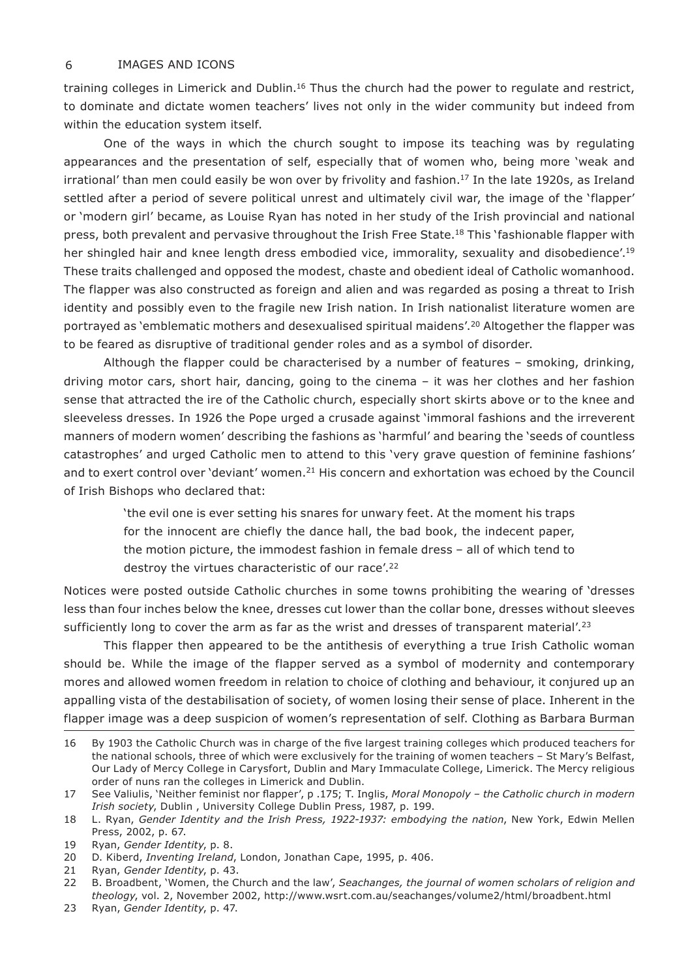training colleges in Limerick and Dublin.<sup>16</sup> Thus the church had the power to regulate and restrict, to dominate and dictate women teachers' lives not only in the wider community but indeed from within the education system itself.

One of the ways in which the church sought to impose its teaching was by regulating appearances and the presentation of self, especially that of women who, being more 'weak and irrational' than men could easily be won over by frivolity and fashion.<sup>17</sup> In the late 1920s, as Ireland settled after a period of severe political unrest and ultimately civil war, the image of the 'flapper' or 'modern girl' became, as Louise Ryan has noted in her study of the Irish provincial and national press, both prevalent and pervasive throughout the Irish Free State.<sup>18</sup> This 'fashionable flapper with her shingled hair and knee length dress embodied vice, immorality, sexuality and disobedience'.<sup>19</sup> These traits challenged and opposed the modest, chaste and obedient ideal of Catholic womanhood. The flapper was also constructed as foreign and alien and was regarded as posing a threat to Irish identity and possibly even to the fragile new Irish nation. In Irish nationalist literature women are portrayed as 'emblematic mothers and desexualised spiritual maidens'.20 Altogether the flapper was to be feared as disruptive of traditional gender roles and as a symbol of disorder.

Although the flapper could be characterised by a number of features – smoking, drinking, driving motor cars, short hair, dancing, going to the cinema – it was her clothes and her fashion sense that attracted the ire of the Catholic church, especially short skirts above or to the knee and sleeveless dresses. In 1926 the Pope urged a crusade against 'immoral fashions and the irreverent manners of modern women' describing the fashions as 'harmful' and bearing the 'seeds of countless catastrophes' and urged Catholic men to attend to this 'very grave question of feminine fashions' and to exert control over 'deviant' women.<sup>21</sup> His concern and exhortation was echoed by the Council of Irish Bishops who declared that:

> 'the evil one is ever setting his snares for unwary feet. At the moment his traps for the innocent are chiefly the dance hall, the bad book, the indecent paper, the motion picture, the immodest fashion in female dress – all of which tend to destroy the virtues characteristic of our race'.<sup>22</sup>

Notices were posted outside Catholic churches in some towns prohibiting the wearing of 'dresses less than four inches below the knee, dresses cut lower than the collar bone, dresses without sleeves sufficiently long to cover the arm as far as the wrist and dresses of transparent material'.<sup>23</sup>

This flapper then appeared to be the antithesis of everything a true Irish Catholic woman should be. While the image of the flapper served as a symbol of modernity and contemporary mores and allowed women freedom in relation to choice of clothing and behaviour, it conjured up an appalling vista of the destabilisation of society, of women losing their sense of place. Inherent in the flapper image was a deep suspicion of women's representation of self. Clothing as Barbara Burman

<sup>16</sup> By 1903 the Catholic Church was in charge of the five largest training colleges which produced teachers for the national schools, three of which were exclusively for the training of women teachers – St Mary's Belfast, Our Lady of Mercy College in Carysfort, Dublin and Mary Immaculate College, Limerick. The Mercy religious order of nuns ran the colleges in Limerick and Dublin.

<sup>17</sup> See Valiulis, 'Neither feminist nor flapper', p .175; T. Inglis, *Moral Monopoly – the Catholic church in modern Irish society*, Dublin , University College Dublin Press, 1987, p. 199.

<sup>18</sup> L. Ryan, *Gender Identity and the Irish Press, 1922-1937: embodying the nation*, New York, Edwin Mellen Press, 2002, p. 67.

<sup>19</sup> Ryan, *Gender Identity*, p. 8.

<sup>20</sup> D. Kiberd, *Inventing Ireland*, London, Jonathan Cape, 1995, p. 406.

<sup>21</sup> Ryan, *Gender Identity*, p. 43.

<sup>22</sup> B. Broadbent, 'Women, the Church and the law', *Seachanges, the journal of women scholars of religion and theology*, vol. 2, November 2002, http://www.wsrt.com.au/seachanges/volume2/html/broadbent.html

<sup>23</sup> Ryan, *Gender Identity*, p. 47.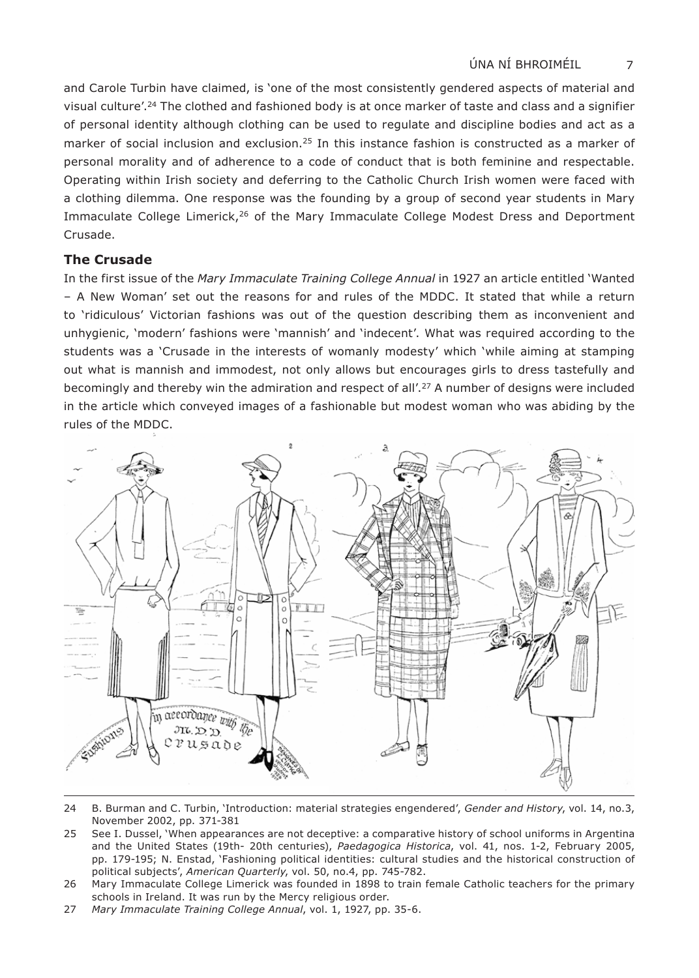and Carole Turbin have claimed, is 'one of the most consistently gendered aspects of material and visual culture'.24 The clothed and fashioned body is at once marker of taste and class and a signifier of personal identity although clothing can be used to regulate and discipline bodies and act as a marker of social inclusion and exclusion.25 In this instance fashion is constructed as a marker of personal morality and of adherence to a code of conduct that is both feminine and respectable. Operating within Irish society and deferring to the Catholic Church Irish women were faced with a clothing dilemma. One response was the founding by a group of second year students in Mary Immaculate College Limerick, $26$  of the Mary Immaculate College Modest Dress and Deportment Crusade.

## **The Crusade**

In the first issue of the *Mary Immaculate Training College Annual* in 1927 an article entitled 'Wanted – A New Woman' set out the reasons for and rules of the MDDC. It stated that while a return to 'ridiculous' Victorian fashions was out of the question describing them as inconvenient and unhygienic, 'modern' fashions were 'mannish' and 'indecent'. What was required according to the students was a 'Crusade in the interests of womanly modesty' which 'while aiming at stamping out what is mannish and immodest, not only allows but encourages girls to dress tastefully and becomingly and thereby win the admiration and respect of all'.27 A number of designs were included in the article which conveyed images of a fashionable but modest woman who was abiding by the rules of the MDDC.



- 24 B. Burman and C. Turbin, 'Introduction: material strategies engendered', *Gender and History*, vol. 14, no.3, November 2002, pp. 371-381
- 25 See I. Dussel, 'When appearances are not deceptive: a comparative history of school uniforms in Argentina and the United States (19th- 20th centuries), *Paedagogica Historica*, vol. 41, nos. 1-2, February 2005, pp. 179-195; N. Enstad, 'Fashioning political identities: cultural studies and the historical construction of political subjects', *American Quarterly*, vol. 50, no.4, pp. 745-782.
- 26 Mary Immaculate College Limerick was founded in 1898 to train female Catholic teachers for the primary schools in Ireland. It was run by the Mercy religious order.
- 27 *Mary Immaculate Training College Annual*, vol. 1, 1927, pp. 35-6.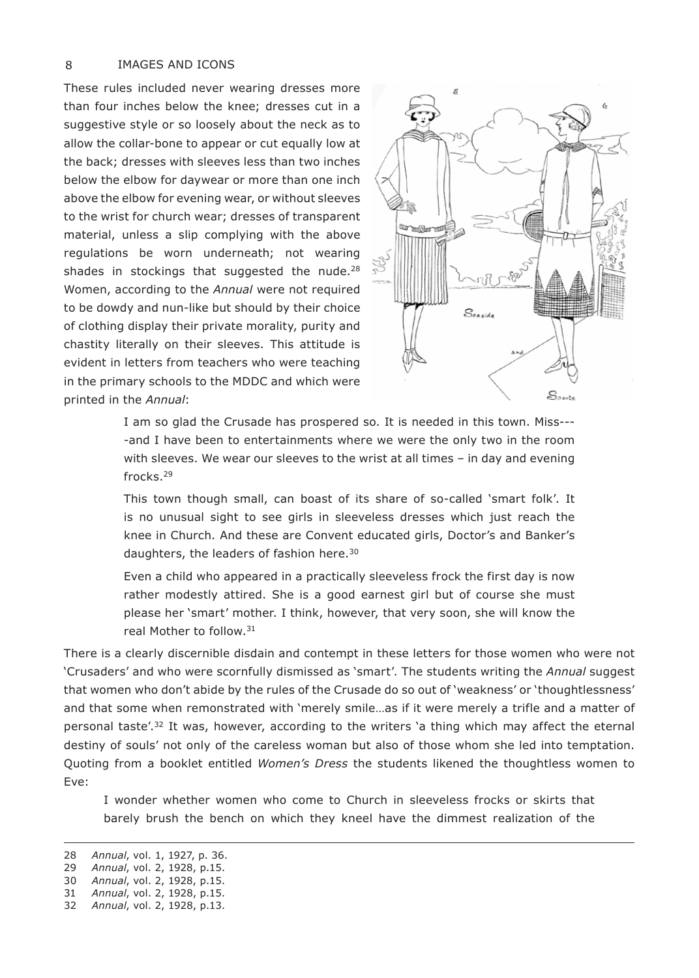#### 8 IMAGES AND ICONS

These rules included never wearing dresses more than four inches below the knee; dresses cut in a suggestive style or so loosely about the neck as to allow the collar-bone to appear or cut equally low at the back; dresses with sleeves less than two inches below the elbow for daywear or more than one inch above the elbow for evening wear, or without sleeves to the wrist for church wear; dresses of transparent material, unless a slip complying with the above regulations be worn underneath; not wearing shades in stockings that suggested the nude.<sup>28</sup> Women, according to the *Annual* were not required to be dowdy and nun-like but should by their choice of clothing display their private morality, purity and chastity literally on their sleeves. This attitude is evident in letters from teachers who were teaching in the primary schools to the MDDC and which were printed in the *Annual*:



I am so glad the Crusade has prospered so. It is needed in this town. Miss--- -and I have been to entertainments where we were the only two in the room with sleeves. We wear our sleeves to the wrist at all times – in day and evening frocks.29

This town though small, can boast of its share of so-called 'smart folk'. It is no unusual sight to see girls in sleeveless dresses which just reach the knee in Church. And these are Convent educated girls, Doctor's and Banker's daughters, the leaders of fashion here.<sup>30</sup>

Even a child who appeared in a practically sleeveless frock the first day is now rather modestly attired. She is a good earnest girl but of course she must please her 'smart' mother. I think, however, that very soon, she will know the real Mother to follow.31

There is a clearly discernible disdain and contempt in these letters for those women who were not 'Crusaders' and who were scornfully dismissed as 'smart'. The students writing the *Annual* suggest that women who don't abide by the rules of the Crusade do so out of 'weakness' or 'thoughtlessness' and that some when remonstrated with 'merely smile…as if it were merely a trifle and a matter of personal taste'.<sup>32</sup> It was, however, according to the writers 'a thing which may affect the eternal destiny of souls' not only of the careless woman but also of those whom she led into temptation. Quoting from a booklet entitled *Women's Dress* the students likened the thoughtless women to Eve:

I wonder whether women who come to Church in sleeveless frocks or skirts that barely brush the bench on which they kneel have the dimmest realization of the

<sup>28</sup> *Annual*, vol. 1, 1927, p. 36.

<sup>29</sup> *Annual*, vol. 2, 1928, p.15.

<sup>30</sup> *Annual*, vol. 2, 1928, p.15.

<sup>31</sup> *Annual*, vol. 2, 1928, p.15.

<sup>32</sup> *Annual*, vol. 2, 1928, p.13.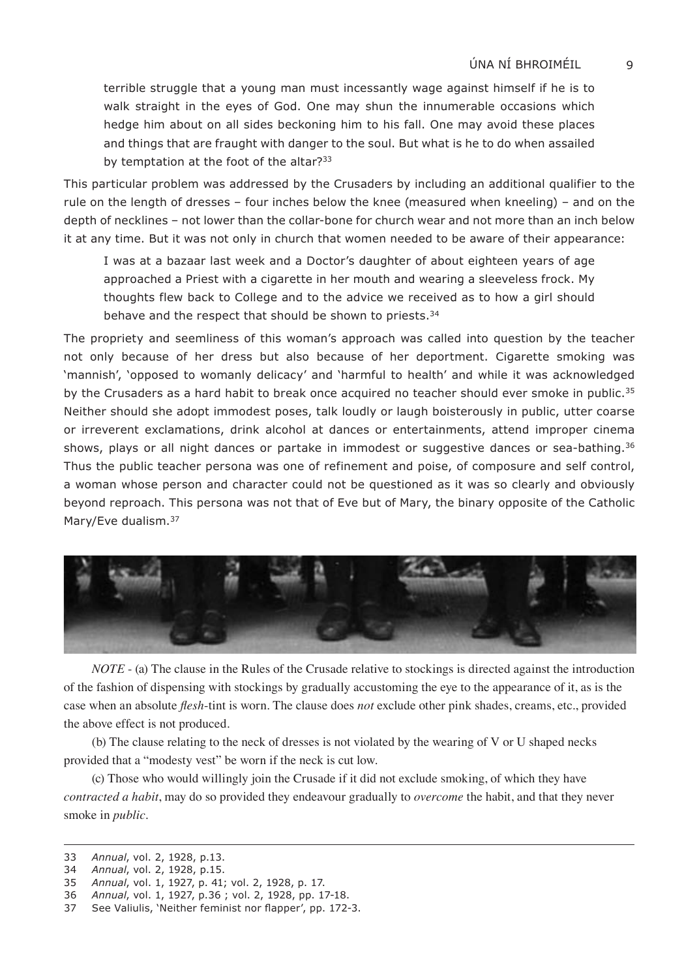terrible struggle that a young man must incessantly wage against himself if he is to walk straight in the eyes of God. One may shun the innumerable occasions which hedge him about on all sides beckoning him to his fall. One may avoid these places and things that are fraught with danger to the soul. But what is he to do when assailed by temptation at the foot of the altar?<sup>33</sup>

This particular problem was addressed by the Crusaders by including an additional qualifier to the rule on the length of dresses – four inches below the knee (measured when kneeling) – and on the depth of necklines – not lower than the collar-bone for church wear and not more than an inch below it at any time. But it was not only in church that women needed to be aware of their appearance:

I was at a bazaar last week and a Doctor's daughter of about eighteen years of age approached a Priest with a cigarette in her mouth and wearing a sleeveless frock. My thoughts flew back to College and to the advice we received as to how a girl should behave and the respect that should be shown to priests.<sup>34</sup>

The propriety and seemliness of this woman's approach was called into question by the teacher not only because of her dress but also because of her deportment. Cigarette smoking was 'mannish', 'opposed to womanly delicacy' and 'harmful to health' and while it was acknowledged by the Crusaders as a hard habit to break once acquired no teacher should ever smoke in public.<sup>35</sup> Neither should she adopt immodest poses, talk loudly or laugh boisterously in public, utter coarse or irreverent exclamations, drink alcohol at dances or entertainments, attend improper cinema shows, plays or all night dances or partake in immodest or suggestive dances or sea-bathing.<sup>36</sup> Thus the public teacher persona was one of refinement and poise, of composure and self control, a woman whose person and character could not be questioned as it was so clearly and obviously beyond reproach. This persona was not that of Eve but of Mary, the binary opposite of the Catholic Mary/Eve dualism.37



*NOTE* - (a) The clause in the Rules of the Crusade relative to stockings is directed against the introduction of the fashion of dispensing with stockings by gradually accustoming the eye to the appearance of it, as is the case when an absolute *flesh*-tint is worn. The clause does *not* exclude other pink shades, creams, etc., provided the above effect is not produced.

(b) The clause relating to the neck of dresses is not violated by the wearing of V or U shaped necks provided that a "modesty vest" be worn if the neck is cut low.

(c) Those who would willingly join the Crusade if it did not exclude smoking, of which they have *contracted a habit*, may do so provided they endeavour gradually to *overcome* the habit, and that they never smoke in *public*.

35 *Annual*, vol. 1, 1927, p. 41; vol. 2, 1928, p. 17.

<sup>33</sup> *Annual*, vol. 2, 1928, p.13.

<sup>34</sup> *Annual*, vol. 2, 1928, p.15.

<sup>36</sup> *Annual*, vol. 1, 1927, p.36 ; vol. 2, 1928, pp. 17-18.

<sup>37</sup> See Valiulis, 'Neither feminist nor flapper', pp. 172-3.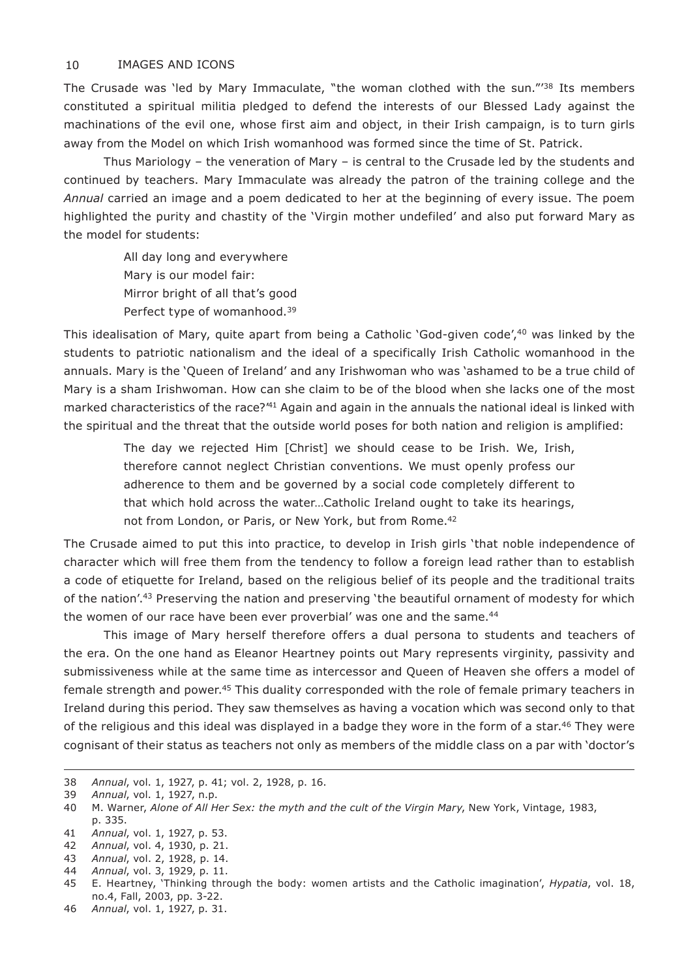The Crusade was 'led by Mary Immaculate, "the woman clothed with the sun."'38 Its members constituted a spiritual militia pledged to defend the interests of our Blessed Lady against the machinations of the evil one, whose first aim and object, in their Irish campaign, is to turn girls away from the Model on which Irish womanhood was formed since the time of St. Patrick.

Thus Mariology – the veneration of Mary – is central to the Crusade led by the students and continued by teachers. Mary Immaculate was already the patron of the training college and the *Annual* carried an image and a poem dedicated to her at the beginning of every issue. The poem highlighted the purity and chastity of the 'Virgin mother undefiled' and also put forward Mary as the model for students:

> All day long and everywhere Mary is our model fair: Mirror bright of all that's good Perfect type of womanhood.39

This idealisation of Mary, quite apart from being a Catholic 'God-given code',40 was linked by the students to patriotic nationalism and the ideal of a specifically Irish Catholic womanhood in the annuals. Mary is the 'Queen of Ireland' and any Irishwoman who was 'ashamed to be a true child of Mary is a sham Irishwoman. How can she claim to be of the blood when she lacks one of the most marked characteristics of the race?<sup>41</sup> Again and again in the annuals the national ideal is linked with the spiritual and the threat that the outside world poses for both nation and religion is amplified:

> The day we rejected Him [Christ] we should cease to be Irish. We, Irish, therefore cannot neglect Christian conventions. We must openly profess our adherence to them and be governed by a social code completely different to that which hold across the water…Catholic Ireland ought to take its hearings, not from London, or Paris, or New York, but from Rome.<sup>42</sup>

The Crusade aimed to put this into practice, to develop in Irish girls 'that noble independence of character which will free them from the tendency to follow a foreign lead rather than to establish a code of etiquette for Ireland, based on the religious belief of its people and the traditional traits of the nation'.43 Preserving the nation and preserving 'the beautiful ornament of modesty for which the women of our race have been ever proverbial' was one and the same.<sup>44</sup>

This image of Mary herself therefore offers a dual persona to students and teachers of the era. On the one hand as Eleanor Heartney points out Mary represents virginity, passivity and submissiveness while at the same time as intercessor and Queen of Heaven she offers a model of female strength and power.45 This duality corresponded with the role of female primary teachers in Ireland during this period. They saw themselves as having a vocation which was second only to that of the religious and this ideal was displayed in a badge they wore in the form of a star.<sup>46</sup> They were cognisant of their status as teachers not only as members of the middle class on a par with 'doctor's

41 *Annual*, vol. 1, 1927, p. 53.

- 43 *Annual*, vol. 2, 1928, p. 14.
- 44 *Annual*, vol. 3, 1929, p. 11.

<sup>38</sup> *Annual*, vol. 1, 1927, p. 41; vol. 2, 1928, p. 16.

<sup>39</sup> *Annual*, vol. 1, 1927, n.p.

<sup>40</sup> M. Warner, *Alone of All Her Sex: the myth and the cult of the Virgin Mary*, New York, Vintage, 1983, p. 335.

<sup>42</sup> *Annual*, vol. 4, 1930, p. 21.

<sup>45</sup> E. Heartney, 'Thinking through the body: women artists and the Catholic imagination', *Hypatia*, vol. 18, no.4, Fall, 2003, pp. 3-22.

<sup>46</sup> *Annual*, vol. 1, 1927, p. 31.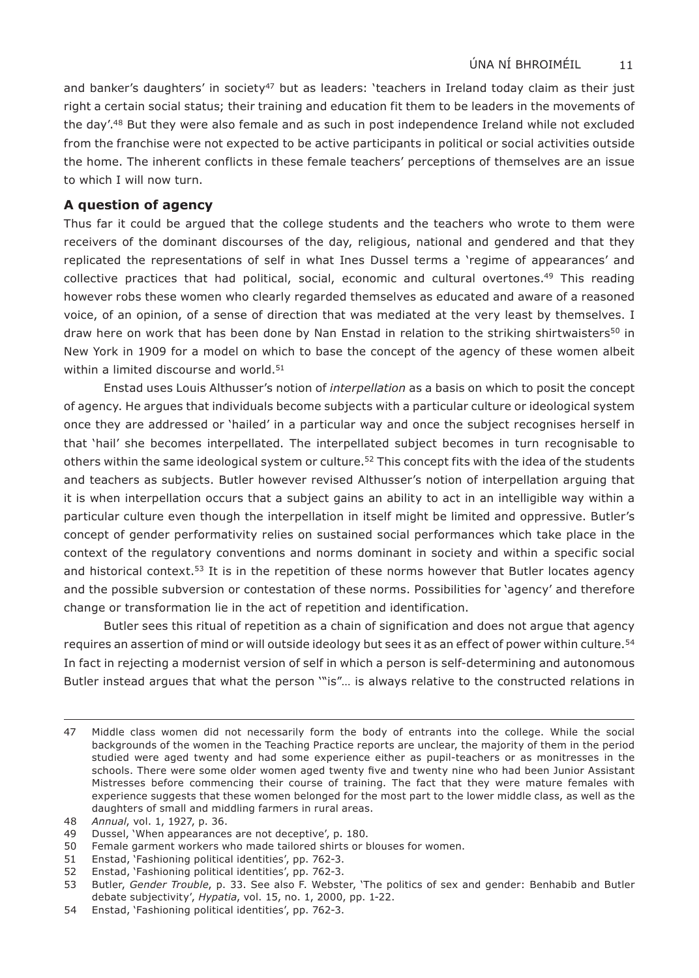and banker's daughters' in society<sup>47</sup> but as leaders: 'teachers in Ireland today claim as their just right a certain social status; their training and education fit them to be leaders in the movements of the day'.48 But they were also female and as such in post independence Ireland while not excluded from the franchise were not expected to be active participants in political or social activities outside the home. The inherent conflicts in these female teachers' perceptions of themselves are an issue to which I will now turn.

## **A question of agency**

Thus far it could be argued that the college students and the teachers who wrote to them were receivers of the dominant discourses of the day, religious, national and gendered and that they replicated the representations of self in what Ines Dussel terms a 'regime of appearances' and collective practices that had political, social, economic and cultural overtones.<sup>49</sup> This reading however robs these women who clearly regarded themselves as educated and aware of a reasoned voice, of an opinion, of a sense of direction that was mediated at the very least by themselves. I draw here on work that has been done by Nan Enstad in relation to the striking shirtwaisters<sup>50</sup> in New York in 1909 for a model on which to base the concept of the agency of these women albeit within a limited discourse and world.<sup>51</sup>

Enstad uses Louis Althusser's notion of *interpellation* as a basis on which to posit the concept of agency. He argues that individuals become subjects with a particular culture or ideological system once they are addressed or 'hailed' in a particular way and once the subject recognises herself in that 'hail' she becomes interpellated. The interpellated subject becomes in turn recognisable to others within the same ideological system or culture.<sup>52</sup> This concept fits with the idea of the students and teachers as subjects. Butler however revised Althusser's notion of interpellation arguing that it is when interpellation occurs that a subject gains an ability to act in an intelligible way within a particular culture even though the interpellation in itself might be limited and oppressive. Butler's concept of gender performativity relies on sustained social performances which take place in the context of the regulatory conventions and norms dominant in society and within a specific social and historical context.<sup>53</sup> It is in the repetition of these norms however that Butler locates agency and the possible subversion or contestation of these norms. Possibilities for 'agency' and therefore change or transformation lie in the act of repetition and identification.

Butler sees this ritual of repetition as a chain of signification and does not argue that agency requires an assertion of mind or will outside ideology but sees it as an effect of power within culture.<sup>54</sup> In fact in rejecting a modernist version of self in which a person is self-determining and autonomous Butler instead argues that what the person ""is"... is always relative to the constructed relations in

- Female garment workers who made tailored shirts or blouses for women.
- 51 Enstad, 'Fashioning political identities', pp. 762-3.<br>52 Enstad, 'Fashioning political identities', pp. 762-3.
- 

54 Enstad, 'Fashioning political identities', pp. 762-3.

<sup>47</sup> Middle class women did not necessarily form the body of entrants into the college. While the social backgrounds of the women in the Teaching Practice reports are unclear, the majority of them in the period studied were aged twenty and had some experience either as pupil-teachers or as monitresses in the schools. There were some older women aged twenty five and twenty nine who had been Junior Assistant Mistresses before commencing their course of training. The fact that they were mature females with experience suggests that these women belonged for the most part to the lower middle class, as well as the daughters of small and middling farmers in rural areas.

<sup>48</sup> *Annual*, vol. 1, 1927, p. 36.

<sup>49</sup> Dussel, 'When appearances are not deceptive', p. 180.

<sup>52</sup> Enstad, 'Fashioning political identities', pp. 762-3.<br>53 Butler, *Gender Trouble*, p. 33. See also F. Webste 53 Butler, *Gender Trouble*, p. 33. See also F. Webster, 'The politics of sex and gender: Benhabib and Butler debate subjectivity', *Hypatia*, vol. 15, no. 1, 2000, pp. 1-22.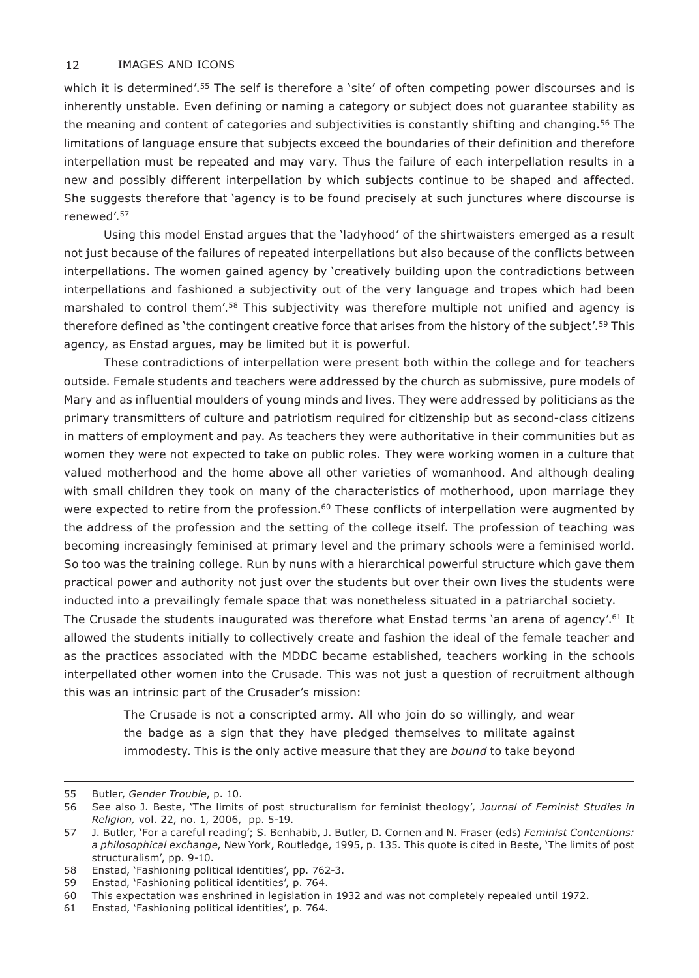### 12 IMAGES AND ICONS

which it is determined'.<sup>55</sup> The self is therefore a 'site' of often competing power discourses and is inherently unstable. Even defining or naming a category or subject does not guarantee stability as the meaning and content of categories and subjectivities is constantly shifting and changing.<sup>56</sup> The limitations of language ensure that subjects exceed the boundaries of their definition and therefore interpellation must be repeated and may vary. Thus the failure of each interpellation results in a new and possibly different interpellation by which subjects continue to be shaped and affected. She suggests therefore that 'agency is to be found precisely at such junctures where discourse is renewed'.57

Using this model Enstad argues that the 'ladyhood' of the shirtwaisters emerged as a result not just because of the failures of repeated interpellations but also because of the conflicts between interpellations. The women gained agency by 'creatively building upon the contradictions between interpellations and fashioned a subjectivity out of the very language and tropes which had been marshaled to control them'.<sup>58</sup> This subjectivity was therefore multiple not unified and agency is therefore defined as 'the contingent creative force that arises from the history of the subject'.59 This agency, as Enstad argues, may be limited but it is powerful.

These contradictions of interpellation were present both within the college and for teachers outside. Female students and teachers were addressed by the church as submissive, pure models of Mary and as influential moulders of young minds and lives. They were addressed by politicians as the primary transmitters of culture and patriotism required for citizenship but as second-class citizens in matters of employment and pay. As teachers they were authoritative in their communities but as women they were not expected to take on public roles. They were working women in a culture that valued motherhood and the home above all other varieties of womanhood. And although dealing with small children they took on many of the characteristics of motherhood, upon marriage they were expected to retire from the profession.<sup>60</sup> These conflicts of interpellation were augmented by the address of the profession and the setting of the college itself. The profession of teaching was becoming increasingly feminised at primary level and the primary schools were a feminised world. So too was the training college. Run by nuns with a hierarchical powerful structure which gave them practical power and authority not just over the students but over their own lives the students were inducted into a prevailingly female space that was nonetheless situated in a patriarchal society.

The Crusade the students inaugurated was therefore what Enstad terms 'an arena of agency'.<sup>61</sup> It allowed the students initially to collectively create and fashion the ideal of the female teacher and as the practices associated with the MDDC became established, teachers working in the schools interpellated other women into the Crusade. This was not just a question of recruitment although this was an intrinsic part of the Crusader's mission:

> The Crusade is not a conscripted army. All who join do so willingly, and wear the badge as a sign that they have pledged themselves to militate against immodesty. This is the only active measure that they are *bound* to take beyond

<sup>55</sup> Butler, *Gender Trouble*, p. 10.

<sup>56</sup> See also J. Beste, 'The limits of post structuralism for feminist theology', *Journal of Feminist Studies in Religion,* vol. 22, no. 1, 2006, pp. 5-19.

<sup>57</sup> J. Butler, 'For a careful reading'; S. Benhabib, J. Butler, D. Cornen and N. Fraser (eds) *Feminist Contentions: a philosophical exchange*, New York, Routledge, 1995, p. 135. This quote is cited in Beste, 'The limits of post structuralism', pp. 9-10.

<sup>58</sup> Enstad, 'Fashioning political identities', pp. 762-3.

<sup>59</sup> Enstad, 'Fashioning political identities', p. 764.

<sup>60</sup> This expectation was enshrined in legislation in 1932 and was not completely repealed until 1972.

<sup>61</sup> Enstad, 'Fashioning political identities', p. 764.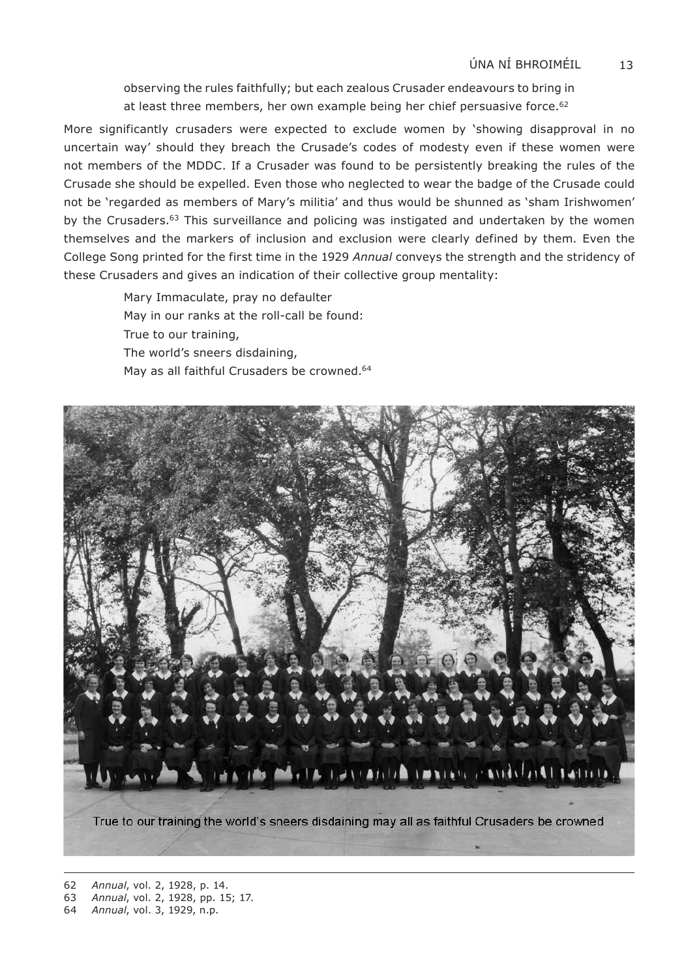observing the rules faithfully; but each zealous Crusader endeavours to bring in at least three members, her own example being her chief persuasive force.<sup>62</sup>

More significantly crusaders were expected to exclude women by 'showing disapproval in no uncertain way' should they breach the Crusade's codes of modesty even if these women were not members of the MDDC. If a Crusader was found to be persistently breaking the rules of the Crusade she should be expelled. Even those who neglected to wear the badge of the Crusade could not be 'regarded as members of Mary's militia' and thus would be shunned as 'sham Irishwomen' by the Crusaders.<sup>63</sup> This surveillance and policing was instigated and undertaken by the women themselves and the markers of inclusion and exclusion were clearly defined by them. Even the College Song printed for the first time in the 1929 *Annual* conveys the strength and the stridency of these Crusaders and gives an indication of their collective group mentality:

> Mary Immaculate, pray no defaulter May in our ranks at the roll-call be found: True to our training, The world's sneers disdaining, May as all faithful Crusaders be crowned.<sup>64</sup>



<sup>62</sup> *Annual*, vol. 2, 1928, p. 14.

63 *Annual*, vol. 2, 1928, pp. 15; 17.

<sup>64</sup> *Annual*, vol. 3, 1929, n.p.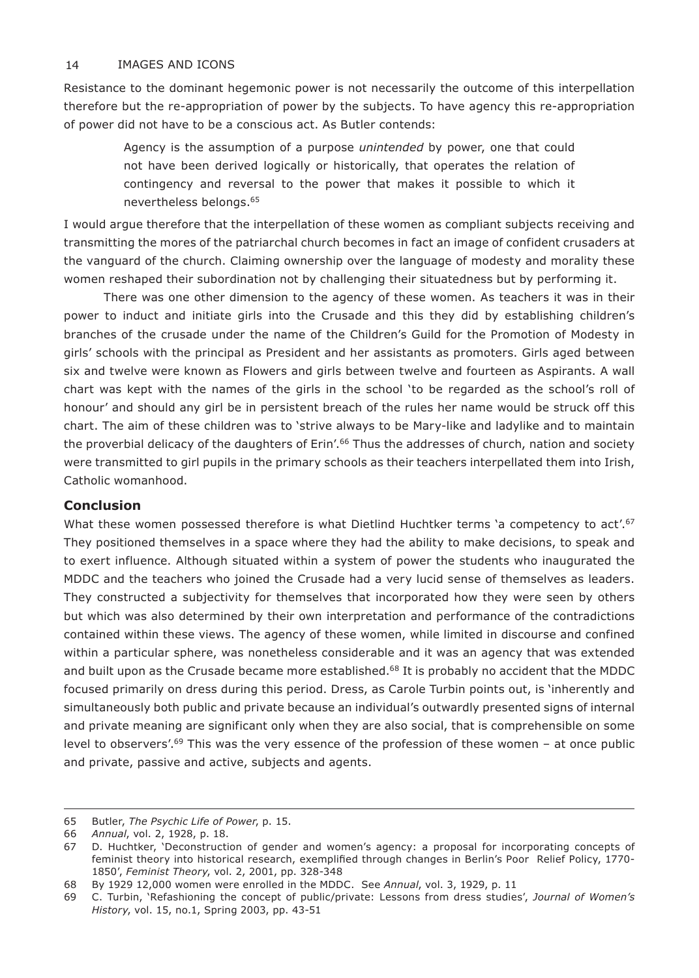### 14 IMAGES AND ICONS

Resistance to the dominant hegemonic power is not necessarily the outcome of this interpellation therefore but the re-appropriation of power by the subjects. To have agency this re-appropriation of power did not have to be a conscious act. As Butler contends:

> Agency is the assumption of a purpose *unintended* by power, one that could not have been derived logically or historically, that operates the relation of contingency and reversal to the power that makes it possible to which it nevertheless belongs.65

I would argue therefore that the interpellation of these women as compliant subjects receiving and transmitting the mores of the patriarchal church becomes in fact an image of confident crusaders at the vanguard of the church. Claiming ownership over the language of modesty and morality these women reshaped their subordination not by challenging their situatedness but by performing it.

There was one other dimension to the agency of these women. As teachers it was in their power to induct and initiate girls into the Crusade and this they did by establishing children's branches of the crusade under the name of the Children's Guild for the Promotion of Modesty in girls' schools with the principal as President and her assistants as promoters. Girls aged between six and twelve were known as Flowers and girls between twelve and fourteen as Aspirants. A wall chart was kept with the names of the girls in the school 'to be regarded as the school's roll of honour' and should any girl be in persistent breach of the rules her name would be struck off this chart. The aim of these children was to 'strive always to be Mary-like and ladylike and to maintain the proverbial delicacy of the daughters of Erin'.<sup>66</sup> Thus the addresses of church, nation and society were transmitted to girl pupils in the primary schools as their teachers interpellated them into Irish, Catholic womanhood.

### **Conclusion**

What these women possessed therefore is what Dietlind Huchtker terms 'a competency to act'.<sup>67</sup> They positioned themselves in a space where they had the ability to make decisions, to speak and to exert influence. Although situated within a system of power the students who inaugurated the MDDC and the teachers who joined the Crusade had a very lucid sense of themselves as leaders. They constructed a subjectivity for themselves that incorporated how they were seen by others but which was also determined by their own interpretation and performance of the contradictions contained within these views. The agency of these women, while limited in discourse and confined within a particular sphere, was nonetheless considerable and it was an agency that was extended and built upon as the Crusade became more established.<sup>68</sup> It is probably no accident that the MDDC focused primarily on dress during this period. Dress, as Carole Turbin points out, is 'inherently and simultaneously both public and private because an individual's outwardly presented signs of internal and private meaning are significant only when they are also social, that is comprehensible on some level to observers'.69 This was the very essence of the profession of these women – at once public and private, passive and active, subjects and agents.

<sup>65</sup> Butler, *The Psychic Life of Power*, p. 15.

<sup>66</sup> *Annual*, vol. 2, 1928, p. 18.

<sup>67</sup> D. Huchtker, 'Deconstruction of gender and women's agency: a proposal for incorporating concepts of feminist theory into historical research, exemplified through changes in Berlin's Poor Relief Policy, 1770- 1850', *Feminist Theory*, vol. 2, 2001, pp. 328-348

<sup>68</sup> By 1929 12,000 women were enrolled in the MDDC. See *Annual*, vol. 3, 1929, p. 11

<sup>69</sup> C. Turbin, 'Refashioning the concept of public/private: Lessons from dress studies', *Journal of Women's History*, vol. 15, no.1, Spring 2003, pp. 43-51